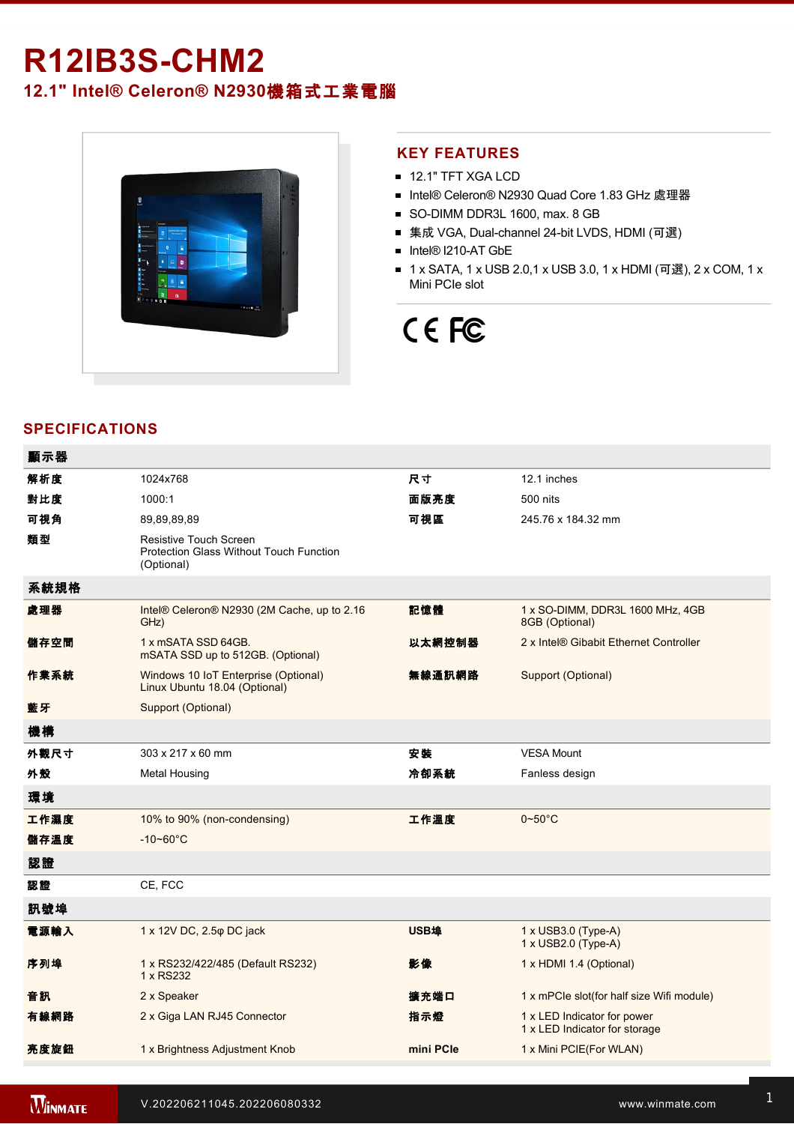# **R12IB3S-CHM2**

**12.1" Intel® Celeron® N2930**機箱式工業電腦



#### **KEY FEATURES**

- **12.1" TFT XGA LCD**
- Intel® Celeron® N2930 Quad Core 1.83 GHz 處理器
- SO-DIMM DDR3L 1600, max. 8 GB
- 集成 VGA, Dual-channel 24-bit LVDS, HDMI (可選)
- Intel® I210-AT GbE
- 1 x SATA, 1 x USB 2.0,1 x USB 3.0, 1 x HDMI (可選), 2 x COM, 1 x Mini PCIe slot

# CE FC

## **SPECIFICATIONS**

| 顯示器  |                                                                                 |             |                                                              |
|------|---------------------------------------------------------------------------------|-------------|--------------------------------------------------------------|
| 解析度  | 1024x768                                                                        | 尺寸          | 12.1 inches                                                  |
| 對比度  | 1000:1                                                                          | 面版亮度        | 500 nits                                                     |
| 可視角  | 89,89,89,89                                                                     | 可視區         | 245.76 x 184.32 mm                                           |
| 類型   | Resistive Touch Screen<br>Protection Glass Without Touch Function<br>(Optional) |             |                                                              |
| 系統規格 |                                                                                 |             |                                                              |
| 處理器  | Intel® Celeron® N2930 (2M Cache, up to 2.16<br>GHz)                             | 記憶體         | 1 x SO-DIMM, DDR3L 1600 MHz, 4GB<br>8GB (Optional)           |
| 儲存空間 | 1 x mSATA SSD 64GB.<br>mSATA SSD up to 512GB. (Optional)                        | 以太網控制器      | 2 x Intel® Gibabit Ethernet Controller                       |
| 作業系統 | Windows 10 IoT Enterprise (Optional)<br>Linux Ubuntu 18.04 (Optional)           | 無線通訊網路      | Support (Optional)                                           |
| 藍牙   | Support (Optional)                                                              |             |                                                              |
| 機構   |                                                                                 |             |                                                              |
| 外觀尺寸 | 303 x 217 x 60 mm                                                               | 安装          | <b>VESA Mount</b>                                            |
| 外殼   | <b>Metal Housing</b>                                                            | 冷卻系統        | Fanless design                                               |
| 環境   |                                                                                 |             |                                                              |
| 工作濕度 | 10% to 90% (non-condensing)                                                     | 工作溫度        | $0 - 50$ °C                                                  |
| 儲存溫度 | $-10 - 60^{\circ}$ C                                                            |             |                                                              |
| 認證   |                                                                                 |             |                                                              |
| 認證   | CE, FCC                                                                         |             |                                                              |
| 訊號埠  |                                                                                 |             |                                                              |
| 電源輸入 | 1 x 12V DC, 2.5 $\varphi$ DC jack                                               | <b>USB埠</b> | 1 x USB3.0 (Type-A)<br>1 x USB2.0 (Type-A)                   |
| 序列埠  | 1 x RS232/422/485 (Default RS232)<br>1 x RS232                                  | 影像          | 1 x HDMI 1.4 (Optional)                                      |
| 音訊   | 2 x Speaker                                                                     | 擴充端口        | 1 x mPCle slot(for half size Wifi module)                    |
| 有線網路 | 2 x Giga LAN RJ45 Connector                                                     | 指示燈         | 1 x LED Indicator for power<br>1 x LED Indicator for storage |
| 亮度旋鈕 | 1 x Brightness Adjustment Knob                                                  | mini PCIe   | 1 x Mini PCIE(For WLAN)                                      |
|      |                                                                                 |             |                                                              |